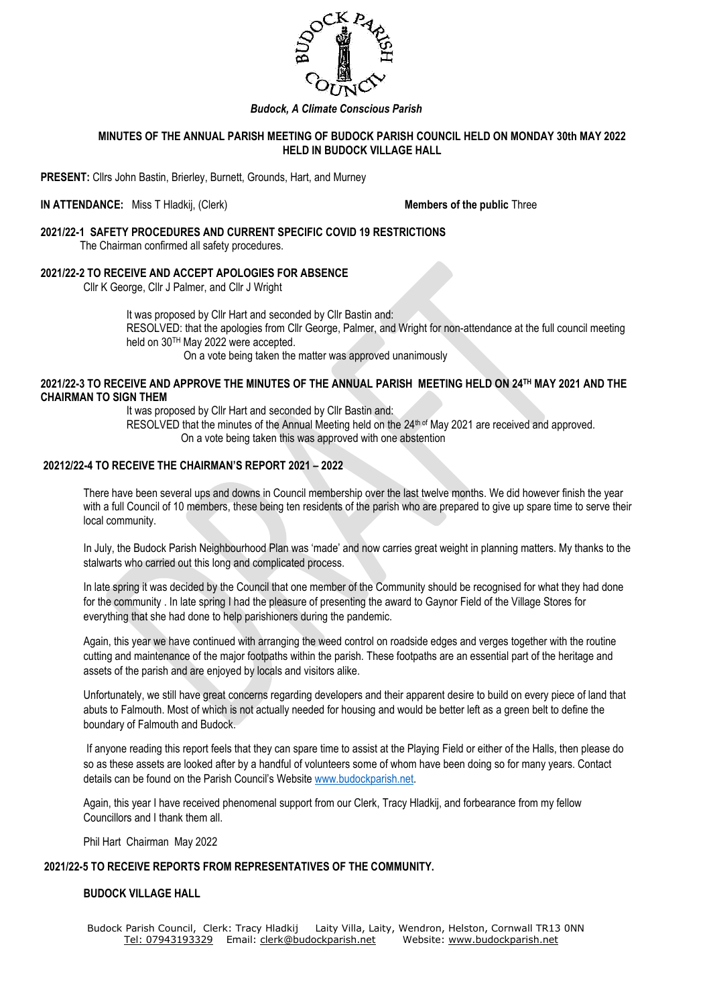

# *Budock, A Climate Conscious Parish*

## **MINUTES OF THE ANNUAL PARISH MEETING OF BUDOCK PARISH COUNCIL HELD ON MONDAY 30th MAY 2022 HELD IN BUDOCK VILLAGE HALL**

**PRESENT:** Cllrs John Bastin, Brierley, Burnett, Grounds, Hart, and Murney

**IN ATTENDANCE:** Miss T Hladkij, (Clerk) **Members of the public** Three

#### **2021/22-1 SAFETY PROCEDURES AND CURRENT SPECIFIC COVID 19 RESTRICTIONS**  The Chairman confirmed all safety procedures.

### **2021/22-2 TO RECEIVE AND ACCEPT APOLOGIES FOR ABSENCE**

Cllr K George, Cllr J Palmer, and Cllr J Wright

It was proposed by Cllr Hart and seconded by Cllr Bastin and: RESOLVED: that the apologies from Cllr George, Palmer, and Wright for non-attendance at the full council meeting held on 30TH May 2022 were accepted. On a vote being taken the matter was approved unanimously

# **2021/22-3 TO RECEIVE AND APPROVE THE MINUTES OF THE ANNUAL PARISH MEETING HELD ON 24TH MAY 2021 AND THE CHAIRMAN TO SIGN THEM**

It was proposed by Cllr Hart and seconded by Cllr Bastin and:

RESOLVED that the minutes of the Annual Meeting held on the 24<sup>th of</sup> May 2021 are received and approved. On a vote being taken this was approved with one abstention

## **20212/22-4 TO RECEIVE THE CHAIRMAN'S REPORT 2021 – 2022**

There have been several ups and downs in Council membership over the last twelve months. We did however finish the year with a full Council of 10 members, these being ten residents of the parish who are prepared to give up spare time to serve their local community.

In July, the Budock Parish Neighbourhood Plan was 'made' and now carries great weight in planning matters. My thanks to the stalwarts who carried out this long and complicated process.

In late spring it was decided by the Council that one member of the Community should be recognised for what they had done for the community . In late spring I had the pleasure of presenting the award to Gaynor Field of the Village Stores for everything that she had done to help parishioners during the pandemic.

Again, this year we have continued with arranging the weed control on roadside edges and verges together with the routine cutting and maintenance of the major footpaths within the parish. These footpaths are an essential part of the heritage and assets of the parish and are enjoyed by locals and visitors alike.

Unfortunately, we still have great concerns regarding developers and their apparent desire to build on every piece of land that abuts to Falmouth. Most of which is not actually needed for housing and would be better left as a green belt to define the boundary of Falmouth and Budock.

If anyone reading this report feels that they can spare time to assist at the Playing Field or either of the Halls, then please do so as these assets are looked after by a handful of volunteers some of whom have been doing so for many years. Contact details can be found on the Parish Council's Website [www.budockparish.net.](http://www.budockparish.net/)

Again, this year I have received phenomenal support from our Clerk, Tracy Hladkij, and forbearance from my fellow Councillors and I thank them all.

Phil Hart Chairman May 2022

### **2021/22-5 TO RECEIVE REPORTS FROM REPRESENTATIVES OF THE COMMUNITY.**

#### **BUDOCK VILLAGE HALL**

Budock Parish Council, Clerk: Tracy Hladkij Laity Villa, Laity, Wendron, Helston, Cornwall TR13 0NN Tel: [07943193329](mailto:Tel:%2007943193329) Email: [clerk@budockparish.net](mailto:clerk@budockparish.net) Website: [www.budockparish.net](http://www.budockparish.net/)